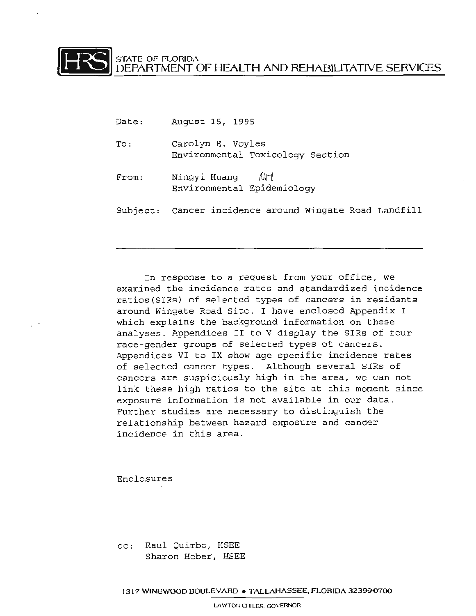FRATE OF FLORIDA DEPARTMENT OF HEALTH AND REHABIUTATIVE SERVICES

- Date: August 15, 1995
- To: Carolyn E. Voyles Environmental Toxicology Section
- From: Ningyi Huang  $\sqrt{1}$ Environmental Epidemiology
- Subject: Cancer incidence around Wingate Road Landfill

In response to a request from your office, we examined the incidence rates and standardized incidence ratios( SIRs) of selected types of cancers in residents around Wingate Road Site. I have enclosed Appendix I which explains the background information on these analyses. Appendices II to V display the SIRs of four race-gender groups of selected types of cancers. Appendices VI to IX show age specific incidence rates of selected cancer types. Although several SIRs of cancers are suspiciously high in the area, we can not link these high ratios to the site at this moment since exposure information is not available in our data. Further studies are necessary to distinguish the relationship between hazard exposure and cancer incidence in this area .

Enclosures

cc: Raul Quimbo, HSEE Sharon Heber, HSEE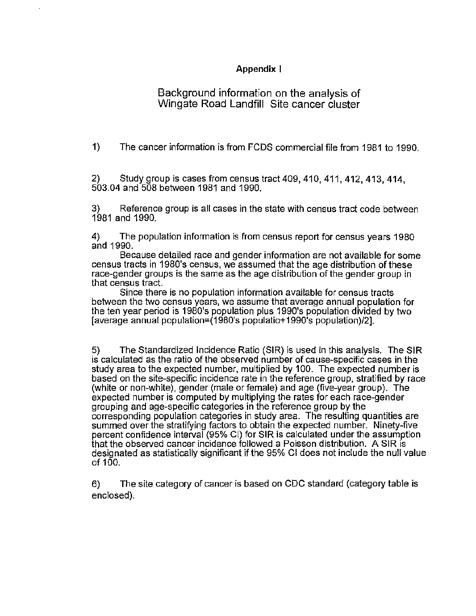### Appendix I

# Background information on the analysis of Wingate Road Landfill Site cancer cluster

1) The cancer information is from FCDS commercial file from 1981 to 1990.

2) Study group is cases from census tract 409, 410, 411, 412, 413, 414, 503.04 and 508 between 1981 and 1990.

3) Reference group is all cases in the state with census tract code between 1981 and 1990.

4) The population information is from census report for census years 1980 and 1990.

Because detailed race and gender information are not available for some census tracts in 1980's census, we assumed that the age distribution of these race-gender groups is the same as the age distribution of the gender group in that census tract.

Since there is no population information available for census tracts between the two census years, we assume that average annual population for the ten year period is 1980's population plus 1990's population divided by two [average annual population=(1980's populatio+1990's population)/2].

5) The Standardized Incidence Ratio (SIR) is used in this analysis. The SIR is calculated as the ratio of the observed number of cause-specific cases in the study area to the expected number, multiplied by 100. The expected number is based on the site-specific incidence rate in the reference group, stratified by race (white or non-white), gender (male or female) and age (five-year group). The expected number is computed by multiplying the rates for each race-gender grouping and age-specific categories in the reference group by the corresponding population categories in study area. The resulting quantities are summed over the stratifying factors to obtain the expected number. Ninety-five percent confidence interval (95% Cl) for SIR is calculated under the assumption that the observed cancer incidence followed a Poisson distribution. A SIR is designated as statistically significant if the 95% Cl does not include the null value of  $100$ .

6) The site category of cancer is based on CDC standard (category table is enclosed).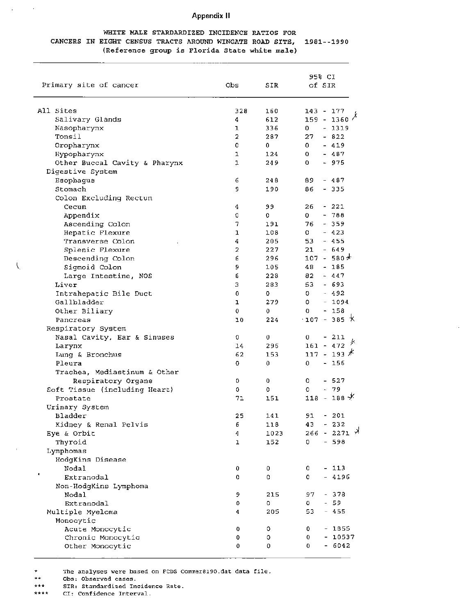### **Appendix II**

#### WHITE MALE STARDARDIZED INCIDENCE RATIOS FOR CANCERS IN EIGHT CENSUS TRACTS AROUND WINGATE ROAD SITE, 1981 -- 1990 (Reference group is Florida State white male)

| Primary site of cancer        | Obs | SIR  | 95% CI<br>of SIR               |
|-------------------------------|-----|------|--------------------------------|
| All Sites                     | 328 | 160  | $143 - 177$                    |
| Salivary Glands               | 4   | 612  | 1360 $^{\lambda}$<br>$159 -$   |
| Nasopharynx                   | ı   | 336  | $-1319$<br>0                   |
| Tonsil                        | 2   | 287  | $-822$<br>27                   |
| Oropharynx                    | 0   | 0    | $-419$<br>0.                   |
| Hypopharynx                   | 1   | 124  | 0<br>- 487                     |
| Other Buccal Cavity & Pharynx | ı   | 249  | $-975$<br>0                    |
| Digestive System              |     |      |                                |
| Esophagus                     | 6   | 248  | 89.<br>- 487                   |
| Stomach                       | 9.  | 190  | 86<br>- 335                    |
| Colon Excluding Rectum        |     |      |                                |
| Cecum                         | 4   | 99   | 26<br>- 221                    |
| Appendix                      | 0   | 0    | 0<br>$-788$                    |
| Ascending Colon               | 7   | 191  | $-359$<br>76                   |
| Hepatic Flexure               | ı   | 108  | 0<br>$-423$                    |
| Transverse Colon              | 4   | 205  | $-455$<br>53.                  |
| Splenic Flexure               | 2   | 227  | $-649$<br>21                   |
| Descending Colon              | 6   | 296  | $107 - 580*$                   |
| Sigmoid Colon                 | 9   | 105  | $-185$<br>48                   |
| Large Intestine, NOS          | 6   | 228  | $-447$<br>82                   |
| Liver                         | 3   | 283  | 53<br>- 693                    |
| Intrahepatic Bile Duct        | 0   | o    | $-492$<br>0.                   |
| Gallbladder                   | ı   | 279  | $-1094$<br>0                   |
| Other Biliary                 | 0   | 0    | $-158$<br>0                    |
| Pancreas                      | 10  | 224  | $\cdot$ 107 - 385 $\,\times\,$ |
| Respiratory System            |     |      |                                |
| Nasal Cavity, Ear & Sinuses   | 0   | 0    | 0<br>- 211                     |
| Larynx                        | 14  | 296  | 夬<br>$161 - 472$               |
| Lung & Bronchus               | 62  | 153  | $117 - 193$ $*$                |
| Pleura                        | o   | 0    | 0<br>- 156                     |
| Trachea, Mediastinum & Other  |     |      |                                |
| Respiratory Organs            | 0   | 0    | - 527<br>0                     |
| Soft Tissue (including Heart) | ٥   | o    | $-79$<br>O.                    |
| Prostate                      | 71  | 151  | $118 - 188 \times$             |
| Urinary System                |     |      |                                |
| Bladder                       | 25  | 141  | $91 -$<br>201                  |
| Kidney & Renal Pelvis         | 6   | 118  | 43<br>$-232$                   |
| Eye & Orbit                   | 4   | 1023 | $266 - 2271$ *                 |
| Thyroid                       | ı   | 152  | $-598$<br>0                    |
| Lymphomas                     |     |      |                                |
| HodgKins Disease              |     |      |                                |
| Nodal                         | 0   | 0    | $-113$<br>0                    |
| ٠<br>Extranodal               | 0   | 0    | $-4196$<br>0                   |
| Non-HodgKins Lymphoma         |     |      |                                |
| Nodal                         | 9   | 215  | $-378$<br>97                   |
| Extranodal                    | 0   | 0    | $-59$<br>0                     |
| Multiple Myeloma              | 4   | 205  | 53<br>455<br>$-$               |
| Monocytic                     |     |      |                                |
| Acute Monocytic               | 0   | 0    | $-1855$<br>0                   |
| Chronic Monocytic             | 0   | 0    | $-10537$<br>0                  |
| Other Monocytic               | 0   | 0    | $-6042$<br>0                   |
|                               |     |      |                                |

The analyses were based on FCDS Commer8190.dat data file.

 $\star \star$ Obs: Observed cases.

 $\epsilon$ 

 $\mathcal{L}$ 

 $\overline{\mathcal{L}}$ 

SIR: Standardized Incidence Rate. \*\*\*

CI: Confidence Interval. \*\*\*\*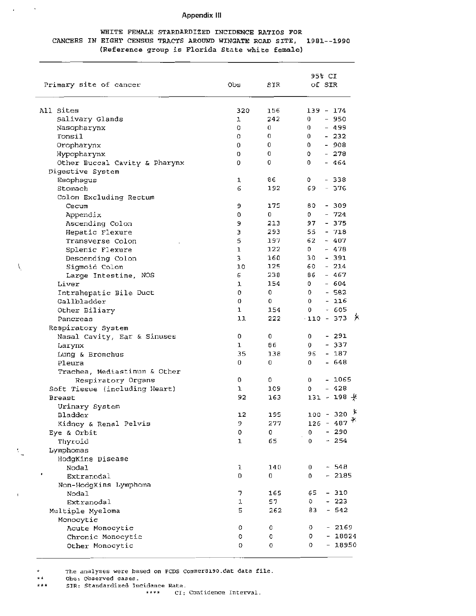### Appendix Ill

### WHITE FEMALE STARDARDIZED INCIDENCE RATIOS FOR CANCERS IN EIGHT CENSUS TRACTS AROUND WINGATE ROAD SITE, 1981- - 1990 (Reference group is Florida State white female)

| Primary site of cancer        | <b>Obs</b> | SIR | 95% CI<br>of SIR                      |
|-------------------------------|------------|-----|---------------------------------------|
| All Sites                     | 320        | 156 | $139 - 174$                           |
| Salivary Glands               | 1          | 242 | $-950$<br>0                           |
| Nasopharynx                   | o          | 0   | $-499$<br>0                           |
| Tonsil                        | 0          | 0   | $-232$<br>0                           |
| Oropharynx                    | 0          | 0   | $-908$<br>0                           |
| Hypopharynx                   | 0          | 0   | $-278$<br>0                           |
| Other Buccal Cavity & Pharynx | 0          | 0   | $-464$<br>0                           |
| Digestive System              |            |     |                                       |
| Esophagus                     | 1          | 86  | - 338<br>0                            |
| Stomach                       | 6          | 192 | $-376$<br>69                          |
| Colon Excluding Rectum        |            |     |                                       |
| Cecum                         | 9          | 175 | - 309<br>80                           |
| Appendix                      | 0          | 0   | $-724$<br>O.                          |
| Ascending Colon               | 9          | 213 | $-375$<br>97                          |
| Hepatic Flexure               | э          | 293 | 55<br>$-718$                          |
| Transverse Colon              | 5          | 197 | 62<br>$-407$                          |
| Splenic Flexure               | 1          | 122 | $-478$<br>$\mathbf{D}$                |
| Descending Colon              | З          | 160 | - 391<br>30                           |
| Sigmoid Colon                 | 10         | 125 | $-214$<br>60                          |
| Large Intestine, NOS          | 6          | 238 | $-467$<br>86                          |
| Liver                         | 1          | 154 | $-604$<br>0                           |
| Intrahepatic Bile Duct        | 0          | 0   | $-582$<br>0                           |
| Gallbladder                   | 0          | 0   | $-116$<br>0                           |
| Other Biliary                 | 1          | 154 | $-605$<br>0                           |
| Pancreas                      | 11         | 222 | 一天<br>$-110 - 373$                    |
| Respiratory System            |            |     |                                       |
| Nasal Cavity, Ear & Sinuses   | 0          | 0   | - 291<br>0                            |
| Larynx                        | ı          | 86. | - 337<br>0                            |
| Lung & Bronchus               | 35         | 138 | 96<br>- 187                           |
| Pleura                        | 0          | 0   | 0<br>- 648                            |
| Trachea, Mediastinum & Other  |            |     |                                       |
| Respiratory Organs            | 0          | 0   | $-1065$<br>0                          |
| Soft Tissue (including Heart) | ı          | 109 | $-428$<br>0                           |
| <b>Breast</b>                 | 92         | 163 | $131 - 198 +$                         |
| Urinary System                |            |     |                                       |
| Bladder                       | 12         | 195 | у<br>$100 - 320$                      |
| Kidney & Renal Pelvis         | 9          | 277 | $126 - 487$ <sup>Y</sup>              |
| Eye & Orbit                   | 0          | 0   | $-290$<br>0                           |
| Thyroid                       | ı          | 65  | 254<br>0<br>$\overline{\phantom{0}}$  |
| Lymphomas                     |            |     |                                       |
| HodgKins Disease              |            |     |                                       |
| Nodal                         | 1          | 140 | $-548$<br>0                           |
| Extranodal                    | 0          | 0   | 2185<br>0<br>$\overline{\phantom{0}}$ |
| Non-HodgKins Lymphoma         |            |     |                                       |
| Nodal                         | 7          | 165 | - 310<br>65                           |
| Extranodal                    | 1          | 57. | 223<br>0                              |
| Multiple Myeloma              | 5          | 262 | 542<br>83<br>$\overline{\phantom{0}}$ |
| Monocytic                     |            |     |                                       |
| Acute Monocytic               | 0          | 0   | $-2169$<br>0                          |
| Chronic Monocytic             | o          | 0   | o<br>$-18824$                         |
| Other Monocytic               | 0          | 0   | 18950<br>0<br>$-$                     |
|                               |            |     |                                       |

\* The analyses were based on FCDS Commer8190.dat data file.

\*\* Obs: Observed cases.<br>\*\*\* SIR: Standardized In

 $\bar{\mathbf{r}}$ 

 $\mathcal{L}$ 

 $\backslash$ 

SIR: Standardized Incidence Rate.

\*\*\*\* CI: Confidence Interval.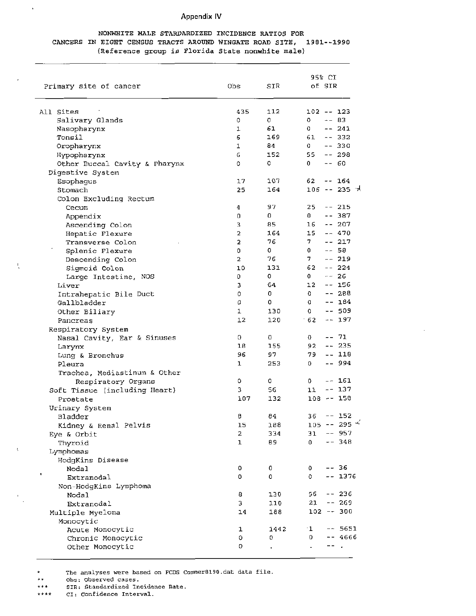### Appendix IV

### NONWHITE MALE STARDARDIZED INCIDENCE RATIOS FOR CANCERS IN EIGHT CENSUS TRACTS AROUND WINGATE ROAD SITE, 1981--1990 (Reference group is Florida State nonwhite male)

| Primary site of cancer        | Obs                     | SIR  | 95% CI<br>of SIR    |              |  |  |
|-------------------------------|-------------------------|------|---------------------|--------------|--|--|
| All Sites                     | 435                     | 112  | 102 -- 123          |              |  |  |
| Salivary Glands               | 0                       | 0    | 0                   | $- - 83$     |  |  |
| Nasopharynx                   | ı                       | 61   | 0                   | $-- 241$     |  |  |
| Tonsil                        | 6                       | 169  | 61<br>$- -$         | 332          |  |  |
| Oropharynx                    | 1                       | 84   | 0                   | $-- 330$     |  |  |
| Hypopharynx                   | 6                       | 152  | 55                  | $-- 298$     |  |  |
| Other Buccal Cavity & Pharynx | 0                       | 0    | 0.                  | -- 60        |  |  |
| Digestive System              |                         |      |                     |              |  |  |
| Esophagus                     | 17                      | 107  | 62                  | -- 164       |  |  |
| Stomach                       | 25                      | 164  |                     | 106 -- 235 ≯ |  |  |
| Colon Excluding Rectum        |                         |      |                     |              |  |  |
| Cecum                         | 4                       | 97   | 25.                 | $-- 215$     |  |  |
| Appendix                      | 0                       | 0    | 0                   | $-- 387$     |  |  |
| Ascending Colon               | 3                       | 85   | 16                  | $- - 207$    |  |  |
| Hepatic Flexure               | 2                       | 164  | 15                  | $-.470$      |  |  |
| Transverse Colon              | 2                       | 76   | $7^{\circ}$         | $-- 217$     |  |  |
| Splenic Flexure               | 0                       | 0    | 0                   | -- 58        |  |  |
| Descending Colon              | $\overline{\mathbf{2}}$ | 76   | 7                   | $-- 219$     |  |  |
| Sigmoid Colon                 | 10                      | 131  | 62                  | $-- 224$     |  |  |
| Large Intestine, NOS          | 0                       | 0    | 0                   | -- 26        |  |  |
| Liver                         | з                       | 64   | 12                  | $-- 156$     |  |  |
| Intrahepatic Bile Duct        | 0                       | 0    | 0                   | -- 288       |  |  |
| Gallbladder                   | 0                       | 0    | $\Omega$            | -- 184       |  |  |
|                               | 1                       | 130  | 0                   | -- 509       |  |  |
| Other Biliary<br>Pancreas     | 12                      | 120  | 62<br>۰             | -- 197       |  |  |
|                               |                         |      |                     |              |  |  |
| Respiratory System            | O                       | O    | O.                  | -- 71        |  |  |
| Nasal Cavity, Ear & Sinuses   | 18                      | 155  | 92                  | $- - 235$    |  |  |
| Larynx                        | 96                      | 97   | 79                  | -- 118       |  |  |
| Lung & Bronchus<br>Pleura     | ı                       | 253  | O                   | -- 994       |  |  |
|                               |                         |      |                     |              |  |  |
| Trachea, Mediastinum & Other  | 0                       | 0    | 0                   | -- 161       |  |  |
| Respiratory Organs            | З                       | 56   | 11                  | $-- 137$     |  |  |
| Soft Tissue (including Heart) | 107                     | 132  | $108 - - 158$       |              |  |  |
| Prostate                      |                         |      |                     |              |  |  |
| Urinary System                | 8                       | 84   | $36 - - 152$        |              |  |  |
| Bladder                       | 15                      | 188  |                     | $105 - 295$  |  |  |
| Kidney & Renal Pelvis         | 2                       | 334  | 31                  | $-- 957$     |  |  |
| Eye & Orbit                   | ı                       | 89   | 0                   | $-- 348$     |  |  |
| Thyroid                       |                         |      |                     |              |  |  |
| Lymphomas                     |                         |      |                     |              |  |  |
| HodgKins Disease<br>Nodal     | ٥                       | 0    | 0                   | $-- 36$      |  |  |
| Extranodal                    | 0                       | 0    | 0                   | $-- 1376$    |  |  |
|                               |                         |      |                     |              |  |  |
| Non-HodgKins Lymphoma         |                         | 130  | 56                  | $-- 236$     |  |  |
| Nodal                         | 8                       |      |                     |              |  |  |
| Extranodal                    | З                       | 110  | 21<br>$102 - - 300$ | $- - 269$    |  |  |
| Multiple Myeloma              | 14                      | 188  |                     |              |  |  |
| Monocytic                     |                         |      |                     |              |  |  |
| Acute Monocytic               | 1                       | 1442 | $^{\cdot 1}$        | $- - 5651$   |  |  |
| Chronic Monocytic             | 0                       | O    | 0                   | -- 4666      |  |  |
| Other Monocytic               | O                       |      |                     |              |  |  |

\* The analyses were based on FCDS Commer8190.dat data file.

\*\* Obs: Observed cases.<br>\*\*\* 9TP: Standardized In

 $\bar{\Gamma}$ 

J,

 $\cdot$  .

 $\overline{\mathbf{f}}$ 

\*\*\* SIR: Standardized Incidence Rate.<br>\*\*\*\* CI: Confidence Interval.

CI: Confidence Interval.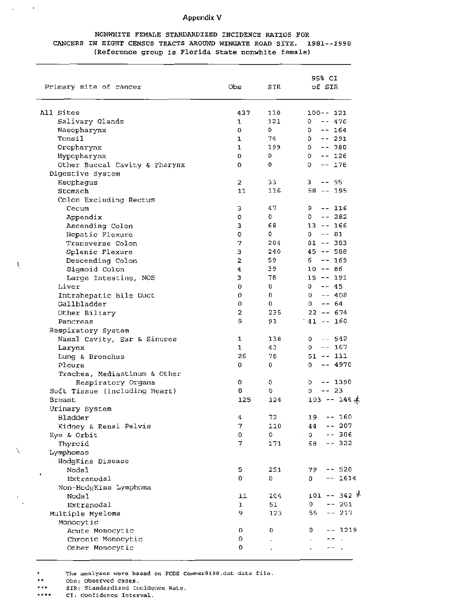### Appendix V

### NONWHITE FEMALE STARDARDIZED INCIDENCE RATIOS FOR CANCERS IN EIGHT CENSUS TRACTS AROUND WINGATE ROAD SITE, 1981--1990 (Reference group is Florida State nonwhite female)

| Primary site of cancer         | adO              | SIR          | 95% CI<br>of SIR              |  |  |  |
|--------------------------------|------------------|--------------|-------------------------------|--|--|--|
| All Sites                      | 437              | 110          | $100 - - 121$                 |  |  |  |
| Salivary Glands                | 1                | 121          | $-- 476$<br>o                 |  |  |  |
| Nasopharynx                    | 0                | 0            | $-- 164$<br>٥                 |  |  |  |
| Tonsil                         | ı                | 74           | -- 291<br>٥                   |  |  |  |
| Oropharynx                     | ı                | 199          | $-- 780$<br>0                 |  |  |  |
| Hypopharynx                    | 0                | $\mathbf{0}$ | $-- 126$<br>0                 |  |  |  |
| Other Buccal Cavity & Pharynx  | 0                | 0            | 0<br>$-- 178$                 |  |  |  |
| Digestive System               |                  |              |                               |  |  |  |
| Esophagus                      | 2                | 33           | з<br>-- 95                    |  |  |  |
| Stomach                        | 11               | 116          | $58 - - 195$                  |  |  |  |
| Colon Excluding Rectum         |                  |              |                               |  |  |  |
| Cecum                          | з                | 47           | 9.<br>-- 116                  |  |  |  |
| Appendix                       | o                | 0            | $-- 282$<br>0                 |  |  |  |
| Ascending Colon                | з                | 68           | $13 - - 166$                  |  |  |  |
| Hepatic Flexure                | 0                | 0            | $-- 81$<br>0                  |  |  |  |
| Transverse Colon               | 7                | 204          | $81 - - 383$                  |  |  |  |
| Splenic Flexure                | З                | 240          | $45 - 588$                    |  |  |  |
| Descending Colon               | 2                | 59           | $-- 169$<br>6                 |  |  |  |
| Sigmoid Colon                  | 4                | 39           | $10 - -86$                    |  |  |  |
| Large Intestine, NOS           | э                | 78           | $15 - - 191$                  |  |  |  |
| Liver                          | 0                | 0            | $-- 45$<br>0                  |  |  |  |
| Intrahepatic Bile Duct         | 0                | 0            | $- - 408$<br>0                |  |  |  |
| Gallbladder                    | 0                | 0            | $-- 64$<br>0                  |  |  |  |
| Other Biliary                  | 2                | 235          | $22 - 674$                    |  |  |  |
| Pancreas                       | 9                | 91           | $41 - 160$                    |  |  |  |
| Respiratory System             |                  |              |                               |  |  |  |
| Nasal Cavity, Ear & Sinuses    | ı                | 138          | $-- 542$<br>0                 |  |  |  |
| Larynx                         | ı                | 43           | $-- 167$<br>0                 |  |  |  |
| Lung & Bronchus                | 26               | 78           | $51 - - 111$                  |  |  |  |
| Pleura                         | 0                | 0            | -- 4970<br>0                  |  |  |  |
| Trachea, Mediastinum & Other   |                  |              |                               |  |  |  |
| Respiratory Organs             | 0                | 0            | O<br>-- 1390                  |  |  |  |
| Soft Tissue (including Heart)  | 0                | 0            | -- 23<br>O                    |  |  |  |
| <b>Breast</b>                  | 125              | 124          | $103 - 146$ $\star$           |  |  |  |
| Urinary System                 |                  |              |                               |  |  |  |
| Bladder                        | 4                | 72           | 160<br>19<br>- -              |  |  |  |
| Kidney & Renal Pelvis          | 7                | 110          | 44<br>$-- 207$<br>$\mathsf D$ |  |  |  |
| Eye & Orbit                    | o                | o            | 306<br>$- -$                  |  |  |  |
| Thyroid                        | 7                | 171          | 68<br>$-- 322$                |  |  |  |
| Lymphomas                      |                  |              |                               |  |  |  |
| HodgKins Disease<br>Nodal      |                  | 251          | $-- 520$                      |  |  |  |
| Extranodal                     | 5<br>$0^{\circ}$ | O            | 79<br>0<br>$-- 1614$          |  |  |  |
|                                |                  |              |                               |  |  |  |
| Non-HodgKins Lymphoma<br>Nodal | 11               | 204          | 101 -- 342 ∦                  |  |  |  |
| Extranodal                     | ı                | 51           | 0<br>$-- 201$                 |  |  |  |
| Multiple Myeloma               | 9                | 123          | 56<br>$-- 217$                |  |  |  |
| Monocytic                      |                  |              |                               |  |  |  |
| Acute Monocytic                | 0                | 0            | 1219<br>0<br>- -              |  |  |  |
| Chronic Monocytic              | 0                |              |                               |  |  |  |
| Other Monocytic                | 0                |              |                               |  |  |  |
|                                |                  |              |                               |  |  |  |

The analyses were based on FCDS Commer8190.dat data file.  $\ddot{\phantom{0}}$ 

Obs: Observed cases.  $\star\,\star$ 

 $\overline{\phantom{a}}$ 

 $\ddot{\phantom{a}}$ 

 $\mathbf{t}$ 

 $\backslash$ 

SIR: Standardized Incidence Rate.  $\bullet\star\star$ 

CI: Confidence Interval.  $***$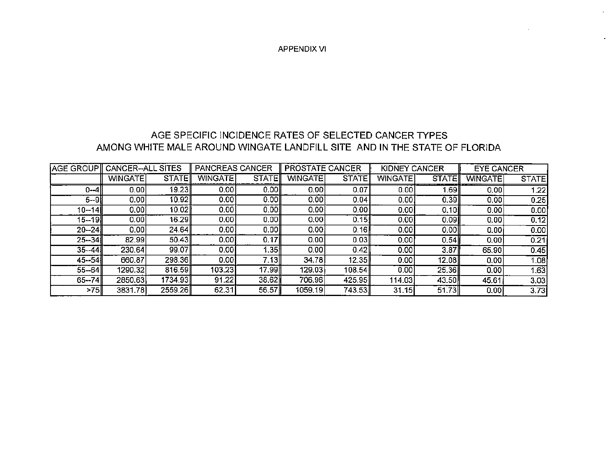APPENDIX VI

) .

# AGE SPECIFIC INCIDENCE RATES OF SELECTED CANCER TYPES AMONG WHITE MALE AROUND WINGATE LANDFILL SITE AND IN THE STATE OF FLORIDA

| IAGE GROUP∥ | CANCER--ALL    | <b>SITES</b> | <b>PANCREAS CANCER</b> |              | PROSTATE CANCER |              | <b>KIDNEY</b><br>CANCER |                   | <b>EYE CANCER</b> |              |
|-------------|----------------|--------------|------------------------|--------------|-----------------|--------------|-------------------------|-------------------|-------------------|--------------|
|             | <b>WINGATE</b> | <b>STATE</b> | <b>WINGATE</b>         | <b>STATE</b> | WINGATE         | <b>STATE</b> | <b>WINGATE</b>          | <b>STATE</b>      | <b>WINGATE</b>    | <b>STATE</b> |
| 0--41       | 0.00           | 19.23        | 0.00                   | 0.00         | 0.00            | 0.07         | 0.00                    | 1.69              | 0.00              | 1.22         |
| 5--9I       | 0.00           | 10.92        | 0.00                   | 0.00         | 0.00            | 0.04         | 0.001                   | $\overline{0.39}$ | 0.00              | 0.25         |
| 10--14II    | 0.00           | 10.02        | 0.00                   | 0.00         | 0.00            | 0.00         | 0.001                   | 0.10              | 0.00              | 0.00         |
| $15 - 19$   | 0.00           | 16.29∥       | 0.001                  | 0.001        | 0.00            | 0.151        | 0.00                    | 0.09              | 0.00              | 0,12         |
| $20 - 24$   | 0.00           | 24.64        | 0.001                  | 0.00         | 0.00            | 0.16         | 0.00                    | 0.00              | 0.001             | 0.00         |
| $25 - 34$   | 82.99          | 50.43        | 0.001                  | 0.17         | 0.00            | 0.03         | 0.001                   | 0.54              | 0.00              | 0.21         |
| 35--44 ll   | 230.64         | 99.07        | 0.001                  | l.35         | 0.00            | 0.42         | 0.001                   | 3.87              | 65.90             | 0.45         |
| 45--54      | 660.87         | 298.36       | 0.00                   | 7.13II       | 34.78           | 12.35        | 0.001                   | 12.08             | 0.00              | 1.08         |
| $55 - 64$   | 1290.32        | 816.59       | 103.23                 | 17.99        | 129.03          | 108.54       | 0.00                    | 25.36             | 0.00              | 1.63         |
| $65 - 74$   | 2850.63        | 1734.93      | 91.22                  | 38.62        | 706.96          | 425.95       | 114.03                  | 43.50             | 45.61             | 3.03         |
| >75∥        | 3831.78        | 2559.26      | 62.31                  | 56.57        | 1059.19         | 743.53       | 31.15                   | 51.73             | 0.001             | 3.73         |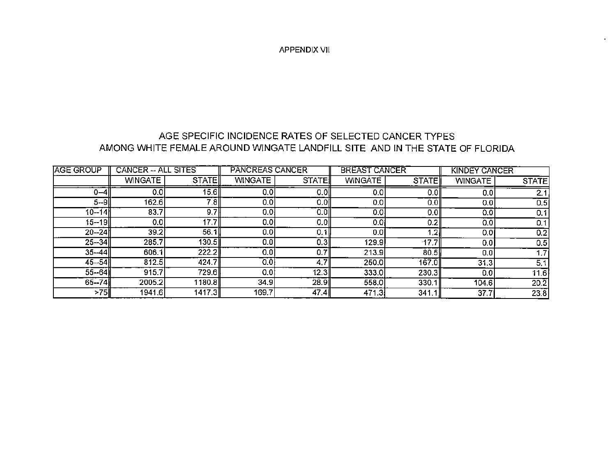APPENDIX VII

# AGE SPECIFIC INCIDENCE RATES OF SELECTED CANCER TYPES AMONG WHITE FEMALE AROUND WINGATE LANDFILL SITE AND IN THE STATE OF FLORIDA

| AGE GROUP | <b>CANCER -- ALL</b><br><b>SITES</b> |        | PANCREAS CANCER  |              | <b>BREAST CANCER</b> |         | <b>KINDEY CANCER</b> |                   |
|-----------|--------------------------------------|--------|------------------|--------------|----------------------|---------|----------------------|-------------------|
|           | <b>WINGATE</b>                       | STATE  | <b>WINGATE</b>   | <b>STATE</b> | <b>WINGATE</b>       | STATE   | <b>WINGATE</b>       | <b>STATE</b>      |
| $0 - 4$   | 0,0                                  | 15.6   | 0,0              | 0.01         | 0.0                  | 0.0     | 0.0                  | 2.1               |
| $5 - 9$   | 162.6                                | 7.8    | $\overline{0.0}$ | 0.0          | 0.0                  | 0.0     | 0.0                  | 0.5               |
| $10 - 14$ | 83.7                                 | 9.7    | 0.01             | 0.OII        | 0,0                  | 0.0     | 0.0                  | 0.1               |
| $15 - 19$ | 0.0                                  | 17.7   | 0.01             | 0.0          | 0.01                 | 0.2     | 0.0                  | 0.1               |
| $20 - 24$ | 39.2                                 | 56.1   | 0.0              | 0.1          | 0.0                  | $\cdot$ | 0.01                 | 0.2               |
| $25 - 34$ | 285.7                                | 130.5  | 0.0              | 0.3          | 129.9                | 17.7    | 0.0                  | 0.5               |
| $35 - 44$ | 606.1                                | 222.2  | 0.0              | 0.7 I        | 213.9                | 80.5    | 0.0                  | 1.7 <sub>l</sub>  |
| $45 - 54$ | 812.5                                | 424.7  | 0.0              | 4.7I         | 250.0                | 167.0   | 31.3                 | 5,1               |
| $55 - 64$ | 915.7                                | 729.6∦ | 0.0              | 12.3         | 333.0                | 230.3   | 0.0                  | 11.6              |
| $65 - 74$ | 2005.2                               | 1180.8 | 34.9             | 28.9         | 558.0                | 330.1   | 104.6                | $20.\overline{2}$ |
| >75∥      | 1941.6                               | 1417.3 | 169.7            | 47.4         | 471.3                | 341.1   | 37.7                 | 23.8              |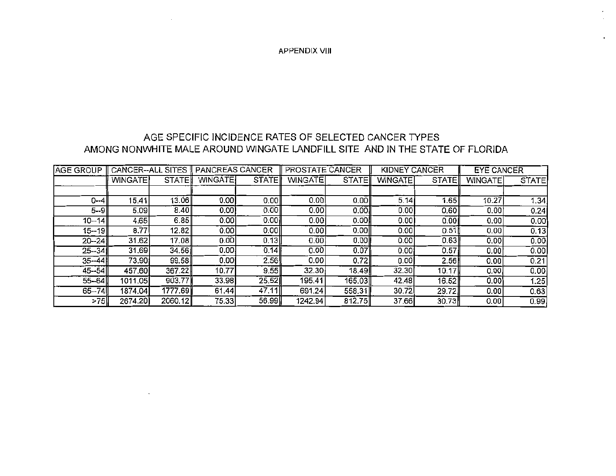APPENDIX VIII

### AGE SPECIFIC INCIDENCE RATES OF SELECTED CANCER TYPES AMONG NONWHITE MALE AROUND WINGATE LANDFILL SITE AND IN THE STATE OF FLORIDA

| <b>AGE GROUP</b> | <b>CANCER--ALL</b> | <b>SITES</b><br>PANCREAS CANCER |                |              | PROSTATE CANCER |        | <b>KIDNEY CANCER</b> |              | <b>EYE CANCER</b> |              |
|------------------|--------------------|---------------------------------|----------------|--------------|-----------------|--------|----------------------|--------------|-------------------|--------------|
|                  | WINGATE            | <b>STATE</b>                    | <b>WINGATE</b> | <b>STATE</b> | <b>WINGATE</b>  | STATE  | <b>WINGATE</b>       | <b>STATE</b> | <b>WINGATE</b>    | <b>STATE</b> |
|                  |                    |                                 |                |              |                 |        |                      |              |                   |              |
| $0 - 4$          | 15.41              | 13.06                           | 0.00           | 0.00         | 0.00            | 0.00   | 5.14                 | 1.65         | 10.27             | 1.34         |
| 5--9I            | 5.09               | 8.40                            | 0.00!          | 0.00         | 0.001           | 0.00   | 0.00                 | 0.60         | 0.00              | 0.24         |
| $10 - 14$        | 4.65               | 6.85                            | 0.00           | 0.00         | 0.001           | 0.00   | 0.00                 | 0.00         | 0.00              | 0.00         |
| 15--19∥          | 8.77               | 12.82                           | 0.00           | 0.00         | 0.00            | 0.00   | 0.00                 | 0.51         | 0.00              | 0.13         |
| $20 - 241$       | 31.62              | 17.08                           | 0.00           | 0.13         | 0.00            | 0.00   | 0.00                 | 0.63         | 0.001             | 0.00         |
| $25 - 34$        | 31.69              | 34.56                           | 0.00           | 0.14         | 0.00            | 0.07   | 0.00                 | 0.57         | 0.00              | 0.00         |
| $35 - 44$        | 73.90              | 99.58                           | 0.001          | 2.56         | 0.00            | 0.72   | 0.00                 | 2.56         | 0.00              | 0.21         |
| $45 - 54$        | 457.60             | 367.22                          | 10.77          | 9.55         | 32.30           | 18.49I | 32.30                | 10.17        | 0.00              | 0.00         |
| $55 - 64$        | 1011.05            | 903.77                          | 33.98          | 25.52        | 195.41          | 165.03 | 42.48                | 16.52        | 0.00              | 1.25         |
| $65 - 74$        | 1874.04            | 1777.69                         | 61.44          | 47,11        | 691.24          | 558.31 | 30.72                | 29.72        | 0.00              | 0.63         |
| >75              | 2674.20            | 2060.12                         | 75.33          | 56.99        | 1242.94         | 812.75 | 37.66                | 30.73        | 0.00              | 0.99         |